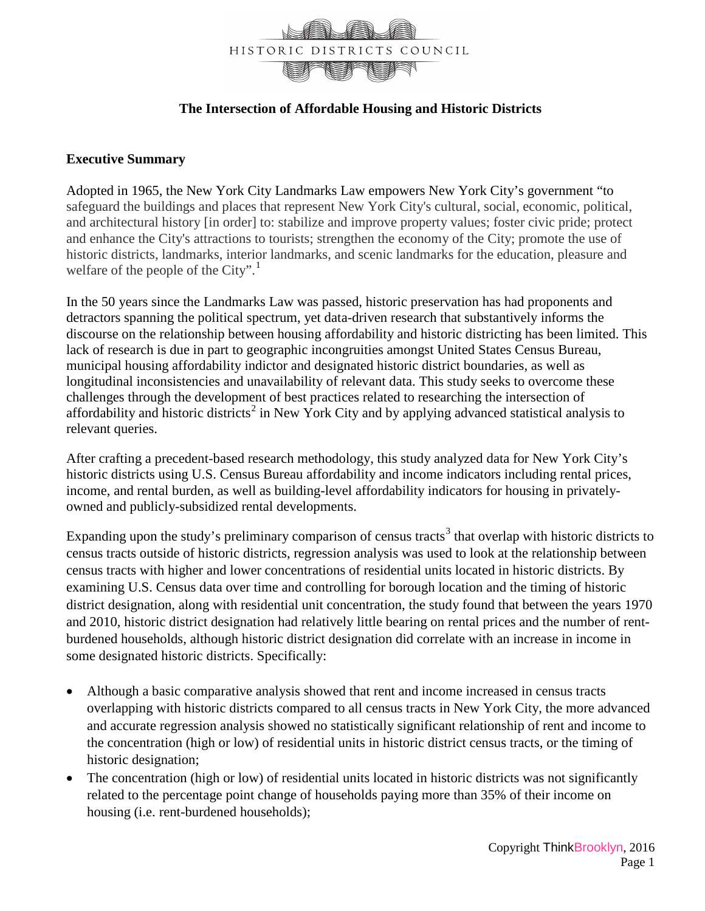

## **The Intersection of Affordable Housing and Historic Districts**

## **Executive Summary**

Adopted in 1965, the New York City Landmarks Law empowers New York City's government "to safeguard the buildings and places that represent New York City's cultural, social, economic, political, and architectural history [in order] to: stabilize and improve property values; foster civic pride; protect and enhance the City's attractions to tourists; strengthen the economy of the City; promote the use of historic districts, landmarks, interior landmarks, and scenic landmarks for the education, pleasure and welfare of the people of the City". $\frac{1}{1}$  $\frac{1}{1}$  $\frac{1}{1}$ 

In the 50 years since the Landmarks Law was passed, historic preservation has had proponents and detractors spanning the political spectrum, yet data-driven research that substantively informs the discourse on the relationship between housing affordability and historic districting has been limited. This lack of research is due in part to geographic incongruities amongst United States Census Bureau, municipal housing affordability indictor and designated historic district boundaries, as well as longitudinal inconsistencies and unavailability of relevant data. This study seeks to overcome these challenges through the development of best practices related to researching the intersection of affordability and historic districts<sup>[2](#page-3-1)</sup> in New York City and by applying advanced statistical analysis to relevant queries.

After crafting a precedent-based research methodology, this study analyzed data for New York City's historic districts using U.S. Census Bureau affordability and income indicators including rental prices, income, and rental burden, as well as building-level affordability indicators for housing in privatelyowned and publicly-subsidized rental developments.

Expanding upon the study's preliminary comparison of census tracts<sup>[3](#page-3-2)</sup> that overlap with historic districts to census tracts outside of historic districts, regression analysis was used to look at the relationship between census tracts with higher and lower concentrations of residential units located in historic districts. By examining U.S. Census data over time and controlling for borough location and the timing of historic district designation, along with residential unit concentration, the study found that between the years 1970 and 2010, historic district designation had relatively little bearing on rental prices and the number of rentburdened households, although historic district designation did correlate with an increase in income in some designated historic districts. Specifically:

- Although a basic comparative analysis showed that rent and income increased in census tracts overlapping with historic districts compared to all census tracts in New York City, the more advanced and accurate regression analysis showed no statistically significant relationship of rent and income to the concentration (high or low) of residential units in historic district census tracts, or the timing of historic designation;
- The concentration (high or low) of residential units located in historic districts was not significantly related to the percentage point change of households paying more than 35% of their income on housing (i.e. rent-burdened households);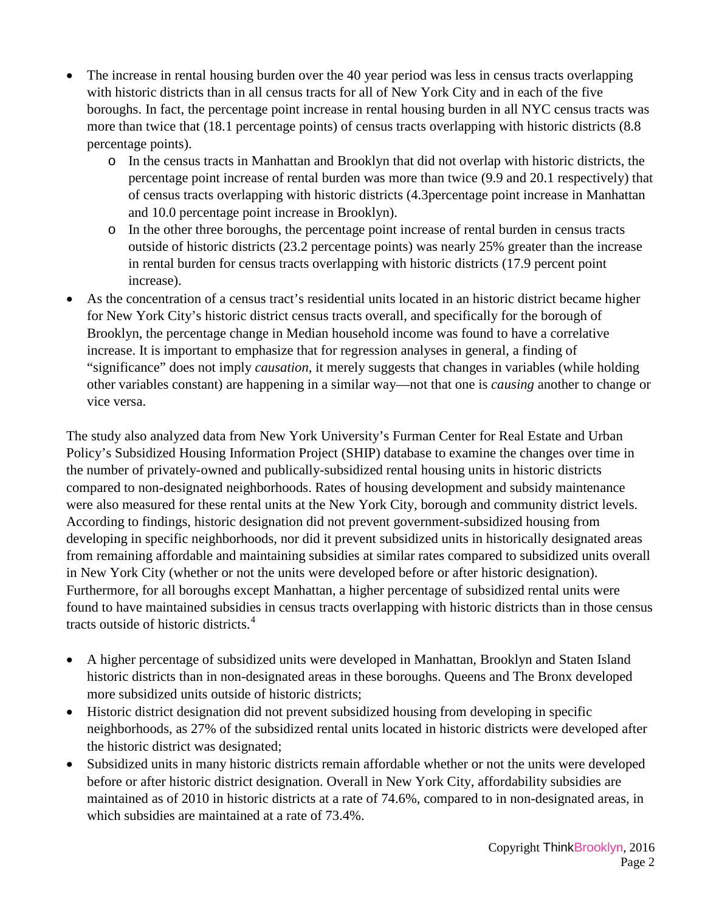- The increase in rental housing burden over the 40 year period was less in census tracts overlapping with historic districts than in all census tracts for all of New York City and in each of the five boroughs. In fact, the percentage point increase in rental housing burden in all NYC census tracts was more than twice that (18.1 percentage points) of census tracts overlapping with historic districts (8.8 percentage points).
	- o In the census tracts in Manhattan and Brooklyn that did not overlap with historic districts, the percentage point increase of rental burden was more than twice (9.9 and 20.1 respectively) that of census tracts overlapping with historic districts (4.3percentage point increase in Manhattan and 10.0 percentage point increase in Brooklyn).
	- o In the other three boroughs, the percentage point increase of rental burden in census tracts outside of historic districts (23.2 percentage points) was nearly 25% greater than the increase in rental burden for census tracts overlapping with historic districts (17.9 percent point increase).
- As the concentration of a census tract's residential units located in an historic district became higher for New York City's historic district census tracts overall, and specifically for the borough of Brooklyn, the percentage change in Median household income was found to have a correlative increase. It is important to emphasize that for regression analyses in general, a finding of "significance" does not imply *causation*, it merely suggests that changes in variables (while holding other variables constant) are happening in a similar way—not that one is *causing* another to change or vice versa.

The study also analyzed data from New York University's Furman Center for Real Estate and Urban Policy's Subsidized Housing Information Project (SHIP) database to examine the changes over time in the number of privately-owned and publically-subsidized rental housing units in historic districts compared to non-designated neighborhoods. Rates of housing development and subsidy maintenance were also measured for these rental units at the New York City, borough and community district levels. According to findings, historic designation did not prevent government-subsidized housing from developing in specific neighborhoods, nor did it prevent subsidized units in historically designated areas from remaining affordable and maintaining subsidies at similar rates compared to subsidized units overall in New York City (whether or not the units were developed before or after historic designation). Furthermore, for all boroughs except Manhattan, a higher percentage of subsidized rental units were found to have maintained subsidies in census tracts overlapping with historic districts than in those census tracts outside of historic districts.<sup>[4](#page-3-3)</sup>

- A higher percentage of subsidized units were developed in Manhattan, Brooklyn and Staten Island historic districts than in non-designated areas in these boroughs. Queens and The Bronx developed more subsidized units outside of historic districts;
- Historic district designation did not prevent subsidized housing from developing in specific neighborhoods, as 27% of the subsidized rental units located in historic districts were developed after the historic district was designated;
- Subsidized units in many historic districts remain affordable whether or not the units were developed before or after historic district designation. Overall in New York City, affordability subsidies are maintained as of 2010 in historic districts at a rate of 74.6%, compared to in non-designated areas, in which subsidies are maintained at a rate of 73.4%.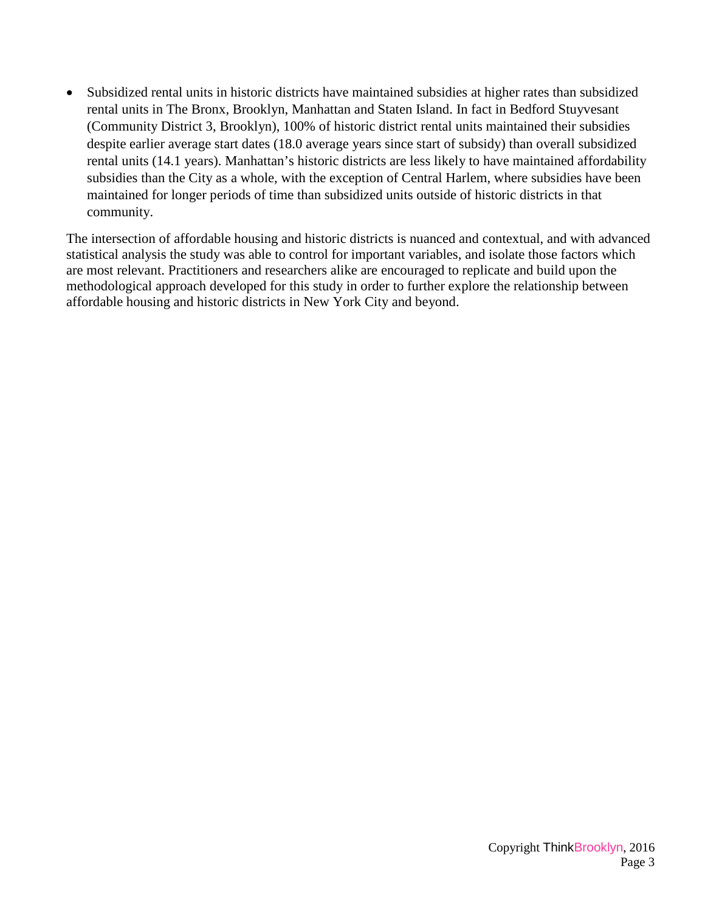• Subsidized rental units in historic districts have maintained subsidies at higher rates than subsidized rental units in The Bronx, Brooklyn, Manhattan and Staten Island. In fact in Bedford Stuyvesant (Community District 3, Brooklyn), 100% of historic district rental units maintained their subsidies despite earlier average start dates (18.0 average years since start of subsidy) than overall subsidized rental units (14.1 years). Manhattan's historic districts are less likely to have maintained affordability subsidies than the City as a whole, with the exception of Central Harlem, where subsidies have been maintained for longer periods of time than subsidized units outside of historic districts in that community.

The intersection of affordable housing and historic districts is nuanced and contextual, and with advanced statistical analysis the study was able to control for important variables, and isolate those factors which are most relevant. Practitioners and researchers alike are encouraged to replicate and build upon the methodological approach developed for this study in order to further explore the relationship between affordable housing and historic districts in New York City and beyond.